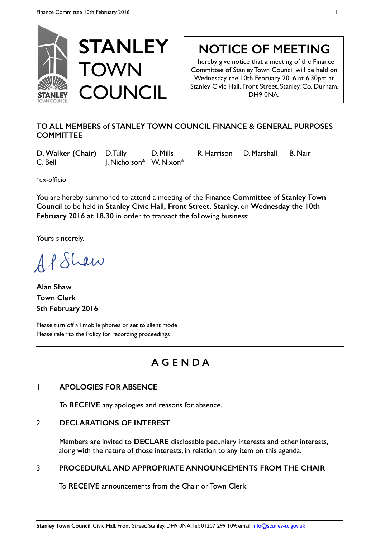

# **NOTICE OF MEETING**

I hereby give notice that a meeting of the Finance Committee of Stanley Town Council will be held on Wednesday, the 10th February 2016 at 6.30pm at Stanley Civic Hall, Front Street, Stanley, Co. Durham, DH9 0NA.

### **TO ALL MEMBERS of STANLEY TOWN COUNCIL FINANCE & GENERAL PURPOSES COMMITTEE**

**D. Walker (Chair)** D. Tully D. Mills R. Harrison D. Marshall B. Nair C. Bell J. Nicholson\* W. Nixon\*

\*ex-officio

You are hereby summoned to attend a meeting of the **Finance Committee** of **Stanley Town Council** to be held in **Stanley Civic Hall, Front Street, Stanley**, on **Wednesday the 10th February 2016 at 18.30** in order to transact the following business:

Yours sincerely,

AP Shaw

**Alan Shaw Town Clerk 5th February 2016** 

Please turn off all mobile phones or set to silent mode Please refer to the Policy for recording proceedings

## **A G E N D A**

### 1 **APOLOGIES FOR ABSENCE**

To **RECEIVE** any apologies and reasons for absence.

### 2 **DECLARATIONS OF INTEREST**

Members are invited to **DECLARE** disclosable pecuniary interests and other interests, along with the nature of those interests, in relation to any item on this agenda.

### 3 **PROCEDURAL AND APPROPRIATE ANNOUNCEMENTS FROM THE CHAIR**

To **RECEIVE** announcements from the Chair or Town Clerk.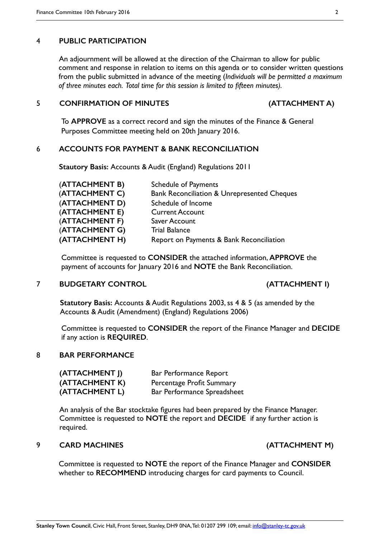#### 4 **PUBLIC PARTICIPATION**

An adjournment will be allowed at the direction of the Chairman to allow for public comment and response in relation to items on this agenda or to consider written questions from the public submitted in advance of the meeting (*Individuals will be permitted a maximum of three minutes each. Total time for this session is limited to fifteen minutes).*

#### 5 **CONFIRMATION OF MINUTES (ATTACHMENT A)**

To **APPROVE** as a correct record and sign the minutes of the Finance & General Purposes Committee meeting held on 20th January 2016.

#### 6 **ACCOUNTS FOR PAYMENT & BANK RECONCILIATION**

 **Stautory Basis:** Accounts & Audit (England) Regulations 2011

| (ATTACHMENT B) | <b>Schedule of Payments</b>                            |
|----------------|--------------------------------------------------------|
| (ATTACHMENT C) | <b>Bank Reconciliation &amp; Unrepresented Cheques</b> |
| (ATTACHMENT D) | Schedule of Income                                     |
| (ATTACHMENT E) | <b>Current Account</b>                                 |
| (ATTACHMENT F) | Saver Account                                          |
| (ATTACHMENT G) | <b>Trial Balance</b>                                   |
| (ATTACHMENT H) | Report on Payments & Bank Reconciliation               |

Committee is requested to **CONSIDER** the attached information, **APPROVE** the payment of accounts for January 2016 and **NOTE** the Bank Reconciliation.

#### 7 **BUDGETARY CONTROL (ATTACHMENT I)**

**Statutory Basis:** Accounts & Audit Regulations 2003, ss 4 & 5 (as amended by the Accounts & Audit (Amendment) (England) Regulations 2006)

Committee is requested to **CONSIDER** the report of the Finance Manager and **DECIDE**  if any action is **REQUIRED**.

#### 8 **BAR PERFORMANCE**

| (ATTACHMENT J) | Bar Performance Report      |
|----------------|-----------------------------|
| (ATTACHMENT K) | Percentage Profit Summary   |
| (ATTACHMENT L) | Bar Performance Spreadsheet |

An analysis of the Bar stocktake figures had been prepared by the Finance Manager. Committee is requested to **NOTE** the report and **DECIDE** if any further action is required.

#### 9 **CARD MACHINES (ATTACHMENT M)**

Committee is requested to **NOTE** the report of the Finance Manager and **CONSIDER**  whether to **RECOMMEND** introducing charges for card payments to Council.